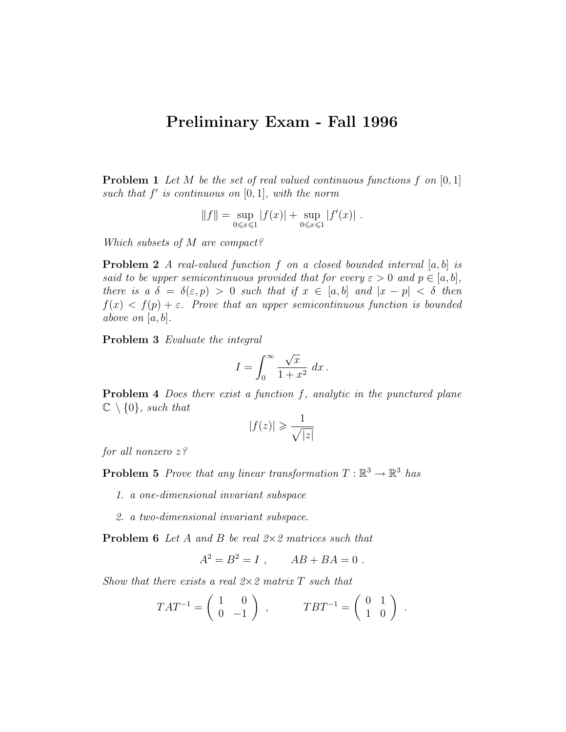## Preliminary Exam - Fall 1996

**Problem 1** Let M be the set of real valued continuous functions f on  $[0, 1]$ such that  $f'$  is continuous on  $[0, 1]$ , with the norm

$$
||f|| = \sup_{0 \le x \le 1} |f(x)| + \sup_{0 \le x \le 1} |f'(x)|.
$$

Which subsets of M are compact?

**Problem 2** A real-valued function f on a closed bounded interval  $[a, b]$  is said to be upper semicontinuous provided that for every  $\varepsilon > 0$  and  $p \in [a, b]$ , there is a  $\delta = \delta(\varepsilon, p) > 0$  such that if  $x \in [a, b]$  and  $|x - p| < \delta$  then  $f(x) < f(p) + \varepsilon$ . Prove that an upper semicontinuous function is bounded above on  $[a, b]$ .

Problem 3 Evaluate the integral

$$
I = \int_0^\infty \frac{\sqrt{x}}{1 + x^2} \, dx \, .
$$

Problem 4 Does there exist a function f, analytic in the punctured plane  $\mathbb{C} \setminus \{0\}$ , such that

$$
|f(z)| \geqslant \frac{1}{\sqrt{|z|}}
$$

for all nonzero z?

**Problem 5** Prove that any linear transformation  $T : \mathbb{R}^3 \to \mathbb{R}^3$  has

1. a one-dimensional invariant subspace

2. a two-dimensional invariant subspace.

**Problem 6** Let A and B be real  $2 \times 2$  matrices such that

$$
A^2 = B^2 = I , \qquad AB + BA = 0 .
$$

Show that there exists a real  $2\times 2$  matrix T such that

$$
TAT^{-1} = \begin{pmatrix} 1 & 0 \\ 0 & -1 \end{pmatrix} , \qquad TBT^{-1} = \begin{pmatrix} 0 & 1 \\ 1 & 0 \end{pmatrix} .
$$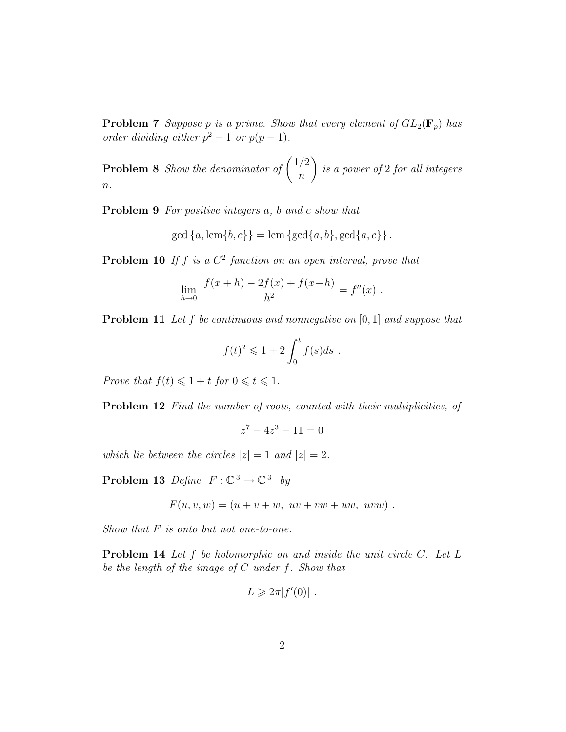**Problem 7** Suppose p is a prime. Show that every element of  $GL_2(\mathbf{F}_p)$  has order dividing either  $p^2-1$  or  $p(p-1)$ .

**Problem 8** Show the denominator of  $\binom{1/2}{2}$ n  $\setminus$ is a power of 2 for all integers  $n$ .

Problem 9 For positive integers a, b and c show that

$$
\gcd\left\{a,\operatorname{lcm}\{b,c\}\right\}=\operatorname{lcm}\left\{\gcd\{a,b\},\operatorname{gcd}\{a,c\}\right\}.
$$

**Problem 10** If f is a  $C^2$  function on an open interval, prove that

$$
\lim_{h \to 0} \frac{f(x+h) - 2f(x) + f(x-h)}{h^2} = f''(x) .
$$

**Problem 11** Let f be continuous and nonnegative on  $[0, 1]$  and suppose that

$$
f(t)^2 \leqslant 1 + 2 \int_0^t f(s) ds.
$$

Prove that  $f(t) \leq 1 + t$  for  $0 \leq t \leq 1$ .

Problem 12 Find the number of roots, counted with their multiplicities, of

$$
z^7 - 4z^3 - 11 = 0
$$

which lie between the circles  $|z| = 1$  and  $|z| = 2$ .

Problem 13 Define  $F: \mathbb{C}^3 \to \mathbb{C}^3$  by

$$
F(u, v, w) = (u + v + w, uv + vw + uw, uvw).
$$

Show that  $F$  is onto but not one-to-one.

Problem 14 Let f be holomorphic on and inside the unit circle C. Let L be the length of the image of  $C$  under  $f$ . Show that

$$
L \geqslant 2\pi |f'(0)| \; .
$$